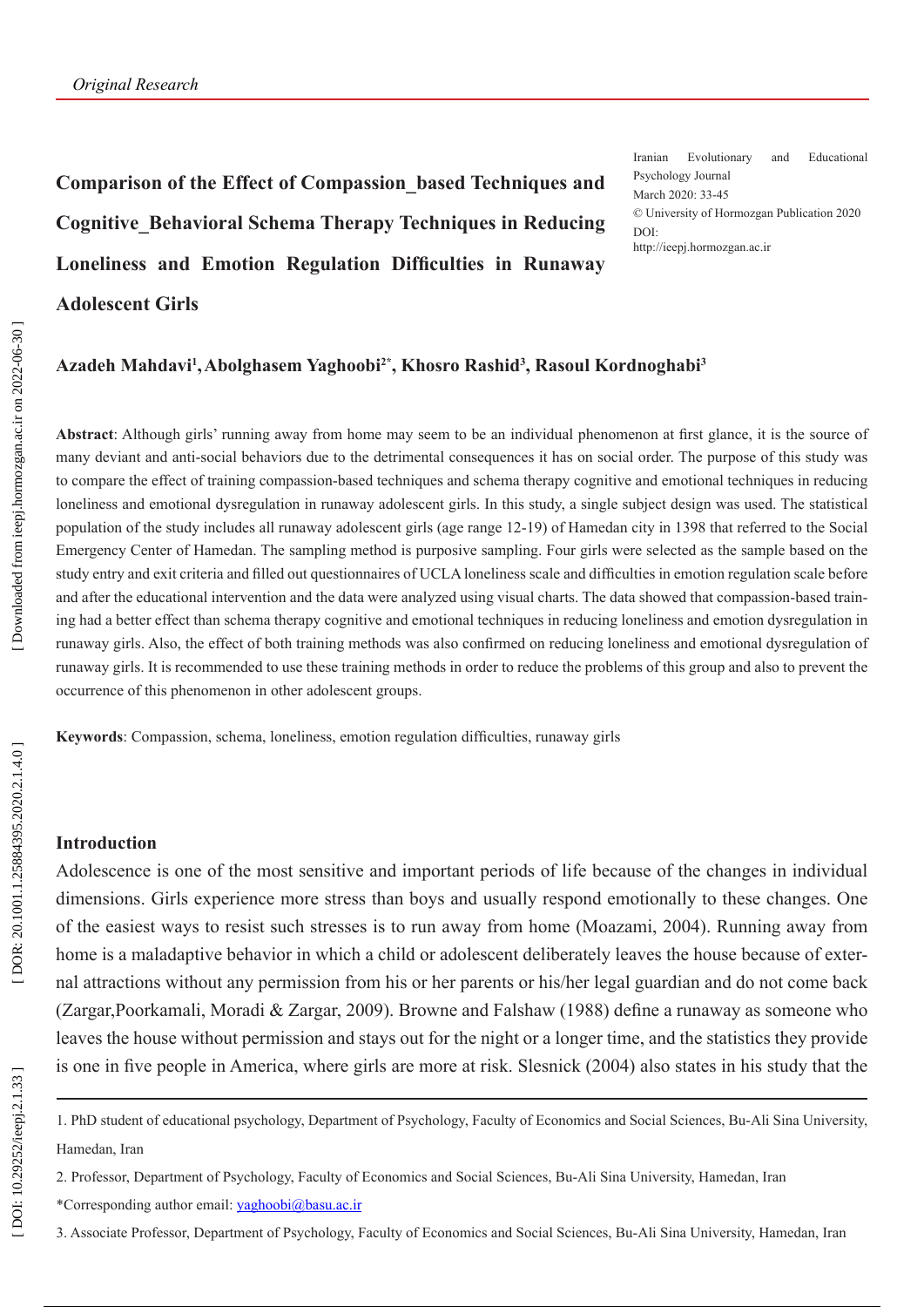**Comparison of the Effect of Compassion\_based Techniques and Cognitive\_Behavioral Schema Therapy Techniques in Reducing Loneliness and Emotion Regulation Difficulties in Runaway Adolescent Girls**

Iranian Evolutionary and Educational Psychology Journal March 2020: 33-45 © University of Hormozgan Publication 2020 DOI: http://ieepj.hormozgan.ac.ir

#### Azadeh Mahdavi<sup>1</sup>, Abolghasem Yaghoobi<sup>2\*</sup>, Khosro Rashid<sup>3</sup>, Rasoul Kordnoghabi<sup>3</sup>

**Abstract**: Although girls' running away from home may seem to be an individual phenomenon at first glance, it is the source of many deviant and anti-social behaviors due to the detrimental consequences it has on social order. The purpose of this study was to compare the effect of training compassion-based techniques and schema therapy cognitive and emotional techniques in reducing loneliness and emotional dysregulation in runaway adolescent girls. In this study, a single subject design was used. The statistical population of the study includes all runaway adolescent girls (age range 12-19) of Hamedan city in 1398 that referred to the Social Emergency Center of Hamedan. The sampling method is purposive sampling. Four girls were selected as the sample based on the study entry and exit criteria and filled out questionnaires of UCLA loneliness scale and difficulties in emotion regulation scale before and after the educational intervention and the data were analyzed using visual charts. The data showed that compassion-based train ing had a better effect than schema therapy cognitive and emotional techniques in reducing loneliness and emotion dysregulation in runaway girls. Also, the effect of both training methods was also confirmed on reducing loneliness and emotional dysregulation of runaway girls. It is recommended to use these training methods in order to reduce the problems of this group and also to prevent the occurrence of this phenomenon in other adolescent groups.

**Keywords**: Compassion, schema, loneliness, emotion regulation difficulties, runaway girls

# **Introduction**

Adolescence is one of the most sensitive and important periods of life because of the changes in individual dimensions. Girls experience more stress than boys and usually respond emotionally to these changes. One of the easiest ways to resist such stresses is to run away from home (Moazami, 2004). Running away from home is a maladaptive behavior in which a child or adolescent deliberately leaves the house because of exter nal attractions without any permission from his or her parents or his/her legal guardian and do not come back (Zargar,Poorkamali, Moradi & Zargar, 2009). Browne and Falshaw (1988) define a runaway as someone who leaves the house without permission and stays out for the night or a longer time, and the statistics they provide is one in five people in America, where girls are more at risk. Slesnick (2004) also states in his study that the

- \*Corresponding author email: yaghoobi@basu.ac.ir
- 3. Associate Professor, Department of Psychology, Faculty of Economics and Social Sciences, Bu-Ali Sina University, Hamedan, Iran

<sup>1.</sup> PhD student of educational psychology, Department of Psychology, Faculty of Economics and Social Sciences, Bu-Ali Sina University, Hamedan, Iran

<sup>2.</sup> Professor, Department of Psychology, Faculty of Economics and Social Sciences, Bu-Ali Sina University, Hamedan, Iran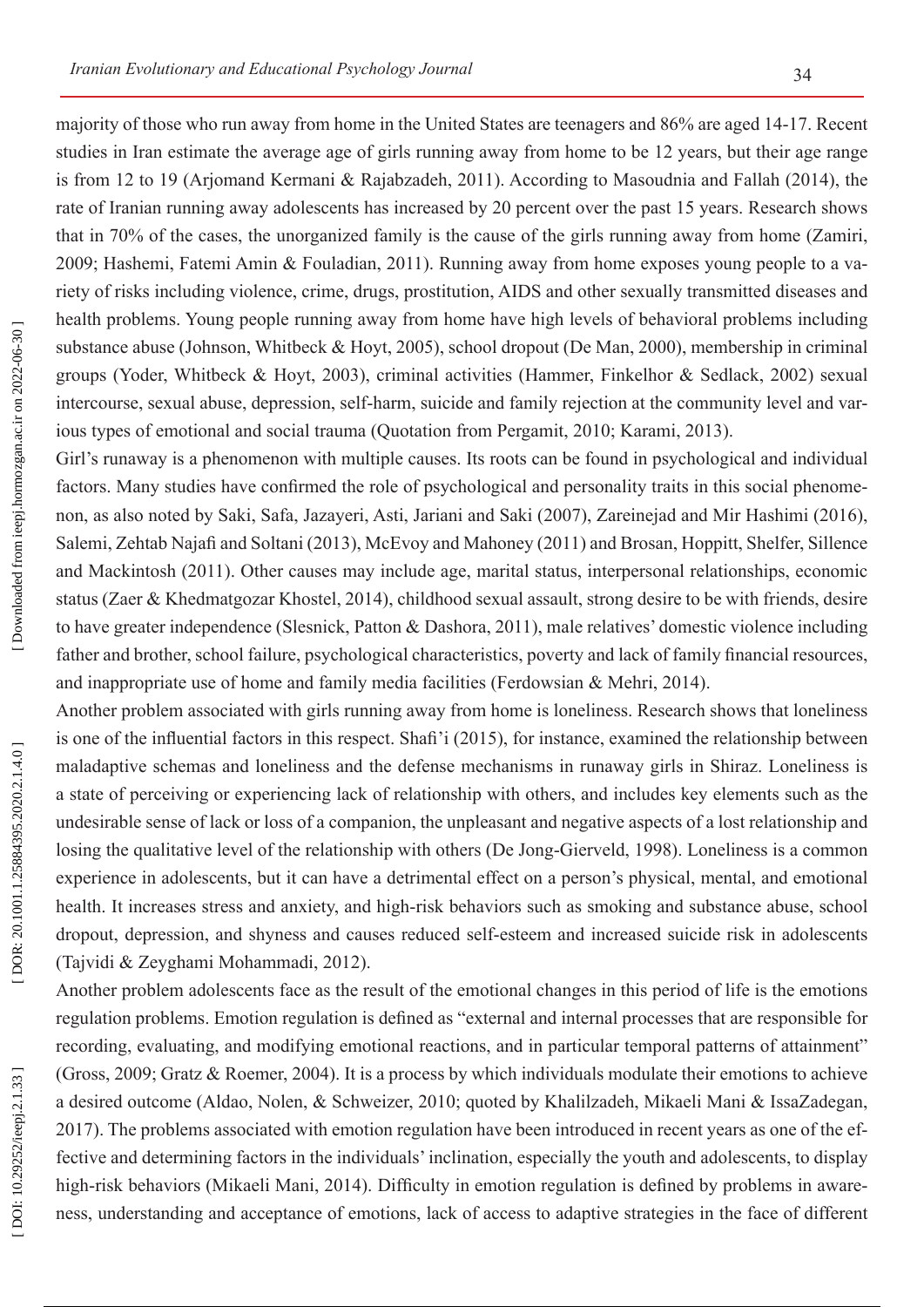majority of those who run away from home in the United States are teenagers and 86% are aged 14-17. Recent studies in Iran estimate the average age of girls running away from home to be 12 years, but their age range is from 12 to 19 (Arjomand Kermani & Rajabzadeh, 2011). According to Masoudnia and Fallah (2014), the rate of Iranian running away adolescents has increased by 20 percent over the past 15 years. Research shows that in 70% of the cases, the unorganized family is the cause of the girls running away from home (Zamiri, 2009; Hashemi, Fatemi Amin & Fouladian, 2011). Running away from home exposes young people to a va riety of risks including violence, crime, drugs, prostitution, AIDS and other sexually transmitted diseases and health problems. Young people running away from home have high levels of behavioral problems including substance abuse (Johnson, Whitbeck & Hoyt, 2005), school dropout (De Man, 2000), membership in criminal groups (Yoder, Whitbeck & Hoyt, 2003), criminal activities (Hammer, Finkelhor & Sedlack, 2002) sexual intercourse, sexual abuse, depression, self-harm, suicide and family rejection at the community level and var ious types of emotional and social trauma (Quotation from Pergamit, 2010; Karami, 2013).

Girl's runaway is a phenomenon with multiple causes. Its roots can be found in psychological and individual factors. Many studies have confirmed the role of psychological and personality traits in this social phenome non, as also noted by Saki, Safa, Jazayeri, Asti, Jariani and Saki (2007), Zareinejad and Mir Hashimi (2016), Salemi, Zehtab Najafi and Soltani (2013), McEvoy and Mahoney (2011) and Brosan, Hoppitt, Shelfer, Sillence and Mackintosh (2011). Other causes may include age, marital status, interpersonal relationships, economic status (Zaer & Khedmatgozar Khostel, 2014), childhood sexual assault, strong desire to be with friends, desire to have greater independence (Slesnick, Patton & Dashora, 2011), male relatives' domestic violence including father and brother, school failure, psychological characteristics, poverty and lack of family financial resources, and inappropriate use of home and family media facilities (Ferdowsian & Mehri, 2014).

Another problem associated with girls running away from home is loneliness. Research shows that loneliness is one of the influential factors in this respect. Shafi'i (2015), for instance, examined the relationship between maladaptive schemas and loneliness and the defense mechanisms in runaway girls in Shiraz. Loneliness is a state of perceiving or experiencing lack of relationship with others, and includes key elements such as the undesirable sense of lack or loss of a companion, the unpleasant and negative aspects of a lost relationship and losing the qualitative level of the relationship with others (De Jong-Gierveld, 1998). Loneliness is a common experience in adolescents, but it can have a detrimental effect on a person's physical, mental, and emotional health. It increases stress and anxiety, and high-risk behaviors such as smoking and substance abuse, school dropout, depression, and shyness and causes reduced self-esteem and increased suicide risk in adolescents (Tajvidi & Zeyghami Mohammadi, 2012).

Another problem adolescents face as the result of the emotional changes in this period of life is the emotions regulation problems. Emotion regulation is defined as "external and internal processes that are responsible for recording, evaluating, and modifying emotional reactions, and in particular temporal patterns of attainment" (Gross, 2009; Gratz & Roemer, 2004). It is a process by which individuals modulate their emotions to achieve a desired outcome (Aldao, Nolen, & Schweizer, 2010; quoted by Khalilzadeh, Mikaeli Mani & IssaZadegan, 2017). The problems associated with emotion regulation have been introduced in recent years as one of the effective and determining factors in the individuals' inclination, especially the youth and adolescents, to display high-risk behaviors (Mikaeli Mani, 2014). Difficulty in emotion regulation is defined by problems in awareness, understanding and acceptance of emotions, lack of access to adaptive strategies in the face of different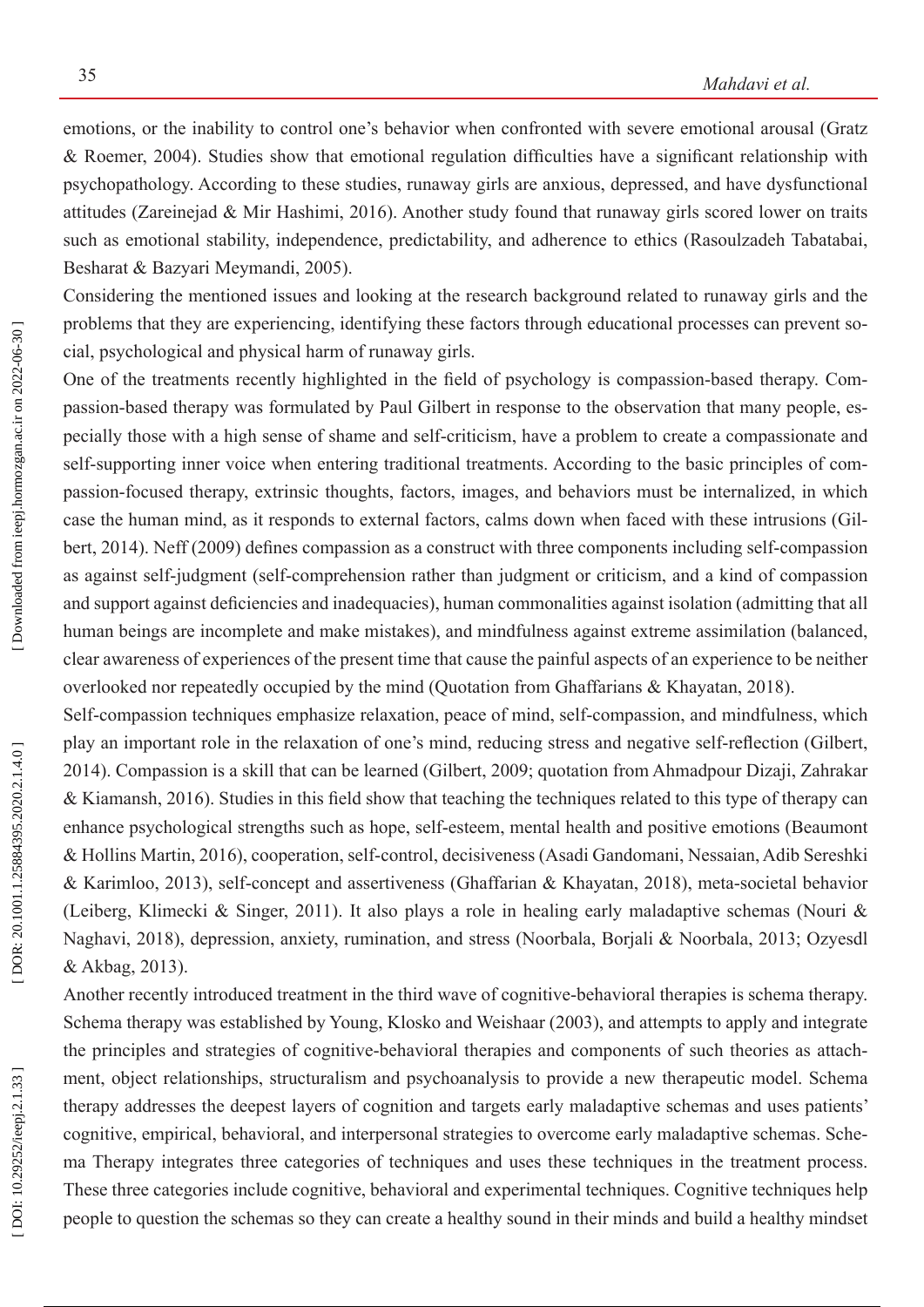emotions, or the inability to control one's behavior when confronted with severe emotional arousal (Gratz & Roemer, 2004). Studies show that emotional regulation difficulties have a significant relationship with psychopathology. According to these studies, runaway girls are anxious, depressed, and have dysfunctional attitudes (Zareinejad & Mir Hashimi, 2016). Another study found that runaway girls scored lower on traits such as emotional stability, independence, predictability, and adherence to ethics (Rasoulzadeh Tabatabai, Besharat & Bazyari Meymandi, 2005).

Considering the mentioned issues and looking at the research background related to runaway girls and the problems that they are experiencing, identifying these factors through educational processes can prevent so cial, psychological and physical harm of runaway girls.

One of the treatments recently highlighted in the field of psychology is compassion-based therapy. Com passion-based therapy was formulated by Paul Gilbert in response to the observation that many people, es pecially those with a high sense of shame and self-criticism, have a problem to create a compassionate and self-supporting inner voice when entering traditional treatments. According to the basic principles of compassion-focused therapy, extrinsic thoughts, factors, images, and behaviors must be internalized, in which case the human mind, as it responds to external factors, calms down when faced with these intrusions (Gil bert, 2014). Neff (2009) defines compassion as a construct with three components including self-compassion as against self-judgment (self-comprehension rather than judgment or criticism, and a kind of compassion and support against deficiencies and inadequacies), human commonalities against isolation (admitting that all human beings are incomplete and make mistakes), and mindfulness against extreme assimilation (balanced, clear awareness of experiences of the present time that cause the painful aspects of an experience to be neither overlooked nor repeatedly occupied by the mind (Quotation from Ghaffarians & Khayatan, 2018).

Self-compassion techniques emphasize relaxation, peace of mind, self-compassion, and mindfulness, which play an important role in the relaxation of one's mind, reducing stress and negative self-reflection (Gilbert, 2014). Compassion is a skill that can be learned (Gilbert, 2009; quotation from Ahmadpour Dizaji, Zahrakar & Kiamansh, 2016). Studies in this field show that teaching the techniques related to this type of therapy can enhance psychological strengths such as hope, self-esteem, mental health and positive emotions (Beaumont & Hollins Martin, 2016), cooperation, self-control, decisiveness (Asadi Gandomani, Nessaian, Adib Sereshki & Karimloo, 2013), self-concept and assertiveness (Ghaffarian & Khayatan, 2018), meta-societal behavior (Leiberg, Klimecki & Singer, 2011). It also plays a role in healing early maladaptive schemas (Nouri & Naghavi, 2018), depression, anxiety, rumination, and stress (Noorbala, Borjali & Noorbala, 2013; Ozyesdl & Akbag, 2013).

Another recently introduced treatment in the third wave of cognitive-behavioral therapies is schema therapy. Schema therapy was established by Young, Klosko and Weishaar (2003), and attempts to apply and integrate the principles and strategies of cognitive-behavioral therapies and components of such theories as attach ment, object relationships, structuralism and psychoanalysis to provide a new therapeutic model. Schema therapy addresses the deepest layers of cognition and targets early maladaptive schemas and uses patients' cognitive, empirical, behavioral, and interpersonal strategies to overcome early maladaptive schemas. Sche ma Therapy integrates three categories of techniques and uses these techniques in the treatment process. These three categories include cognitive, behavioral and experimental techniques. Cognitive techniques help people to question the schemas so they can create a healthy sound in their minds and build a healthy mindset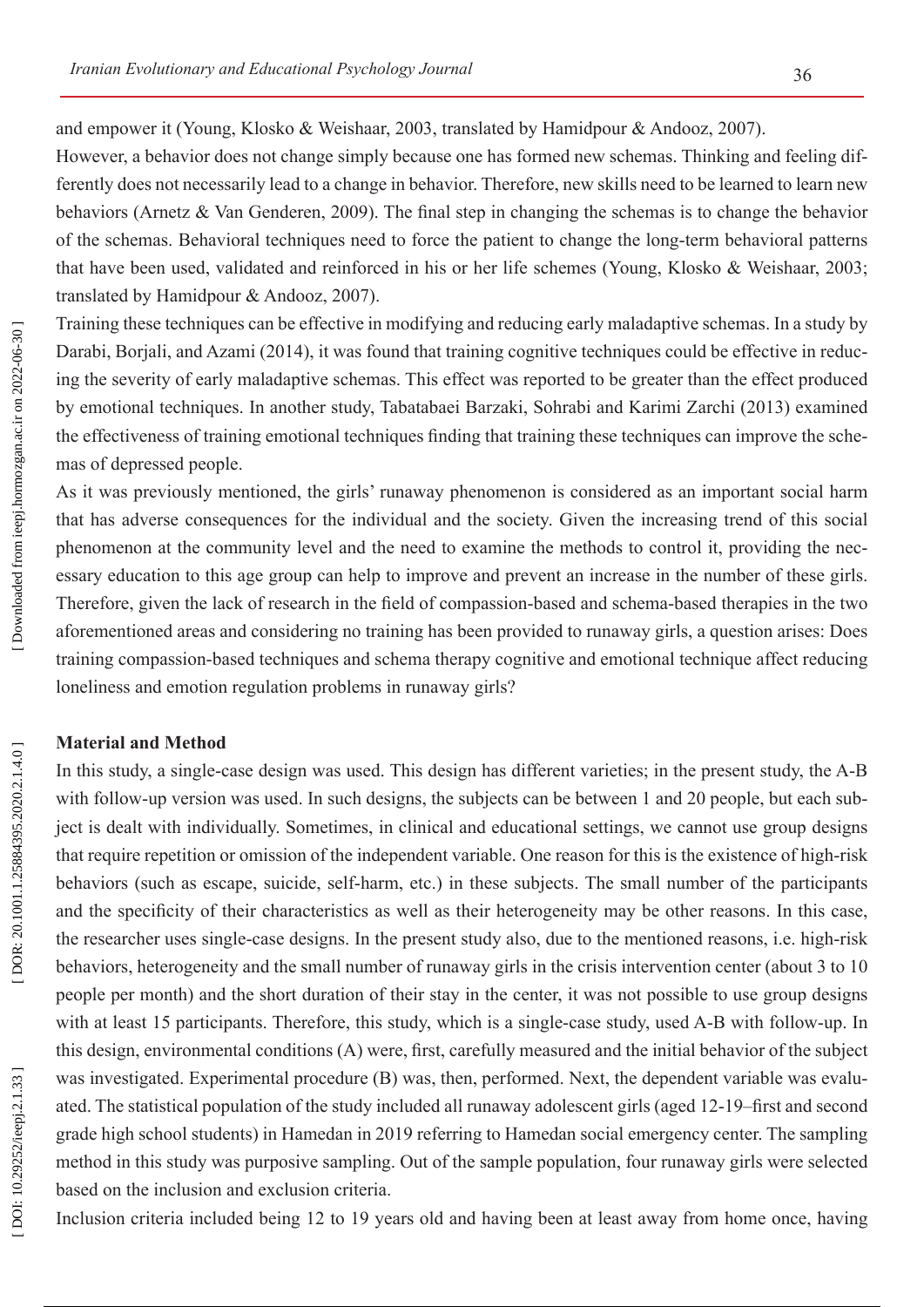and empower it (Young, Klosko & Weishaar, 2003, translated by Hamidpour & Andooz, 2007).

However, a behavior does not change simply because one has formed new schemas. Thinking and feeling differently does not necessarily lead to a change in behavior. Therefore, new skills need to be learned to learn new behaviors (Arnetz & Van Genderen, 2009). The final step in changing the schemas is to change the behavior of the schemas. Behavioral techniques need to force the patient to change the long-term behavioral patterns that have been used, validated and reinforced in his or her life schemes (Young, Klosko & Weishaar, 2003; translated by Hamidpour & Andooz, 2007).

Training these techniques can be effective in modifying and reducing early maladaptive schemas. In a study by Darabi, Borjali, and Azami (2014), it was found that training cognitive techniques could be effective in reduc ing the severity of early maladaptive schemas. This effect was reported to be greater than the effect produced by emotional techniques. In another study, Tabatabaei Barzaki, Sohrabi and Karimi Zarchi (2013) examined the effectiveness of training emotional techniques finding that training these techniques can improve the sche mas of depressed people.

As it was previously mentioned, the girls' runaway phenomenon is considered as an important social harm that has adverse consequences for the individual and the society. Given the increasing trend of this social phenomenon at the community level and the need to examine the methods to control it, providing the nec essary education to this age group can help to improve and prevent an increase in the number of these girls. Therefore, given the lack of research in the field of compassion-based and schema-based therapies in the two aforementioned areas and considering no training has been provided to runaway girls, a question arises: Does training compassion-based techniques and schema therapy cognitive and emotional technique affect reducing loneliness and emotion regulation problems in runaway girls?

### **Material and Method**

In this study, a single-case design was used. This design has different varieties; in the present study, the A-B with follow-up version was used. In such designs, the subjects can be between 1 and 20 people, but each subject is dealt with individually. Sometimes, in clinical and educational settings, we cannot use group designs that require repetition or omission of the independent variable. One reason for this is the existence of high-risk behaviors (such as escape, suicide, self-harm, etc.) in these subjects. The small number of the participants and the specificity of their characteristics as well as their heterogeneity may be other reasons. In this case, the researcher uses single-case designs. In the present study also, due to the mentioned reasons, i.e. high-risk behaviors, heterogeneity and the small number of runaway girls in the crisis intervention center (about 3 to 10 people per month) and the short duration of their stay in the center, it was not possible to use group designs with at least 15 participants. Therefore, this study, which is a single-case study, used A-B with follow-up. In this design, environmental conditions (A) were, first, carefully measured and the initial behavior of the subject was investigated. Experimental procedure (B) was, then, performed. Next, the dependent variable was evalu ated. The statistical population of the study included all runaway adolescent girls (aged 12-19–first and second grade high school students) in Hamedan in 2019 referring to Hamedan social emergency center. The sampling method in this study was purposive sampling. Out of the sample population, four runaway girls were selected based on the inclusion and exclusion criteria.

Inclusion criteria included being 12 to 19 years old and having been at least away from home once, having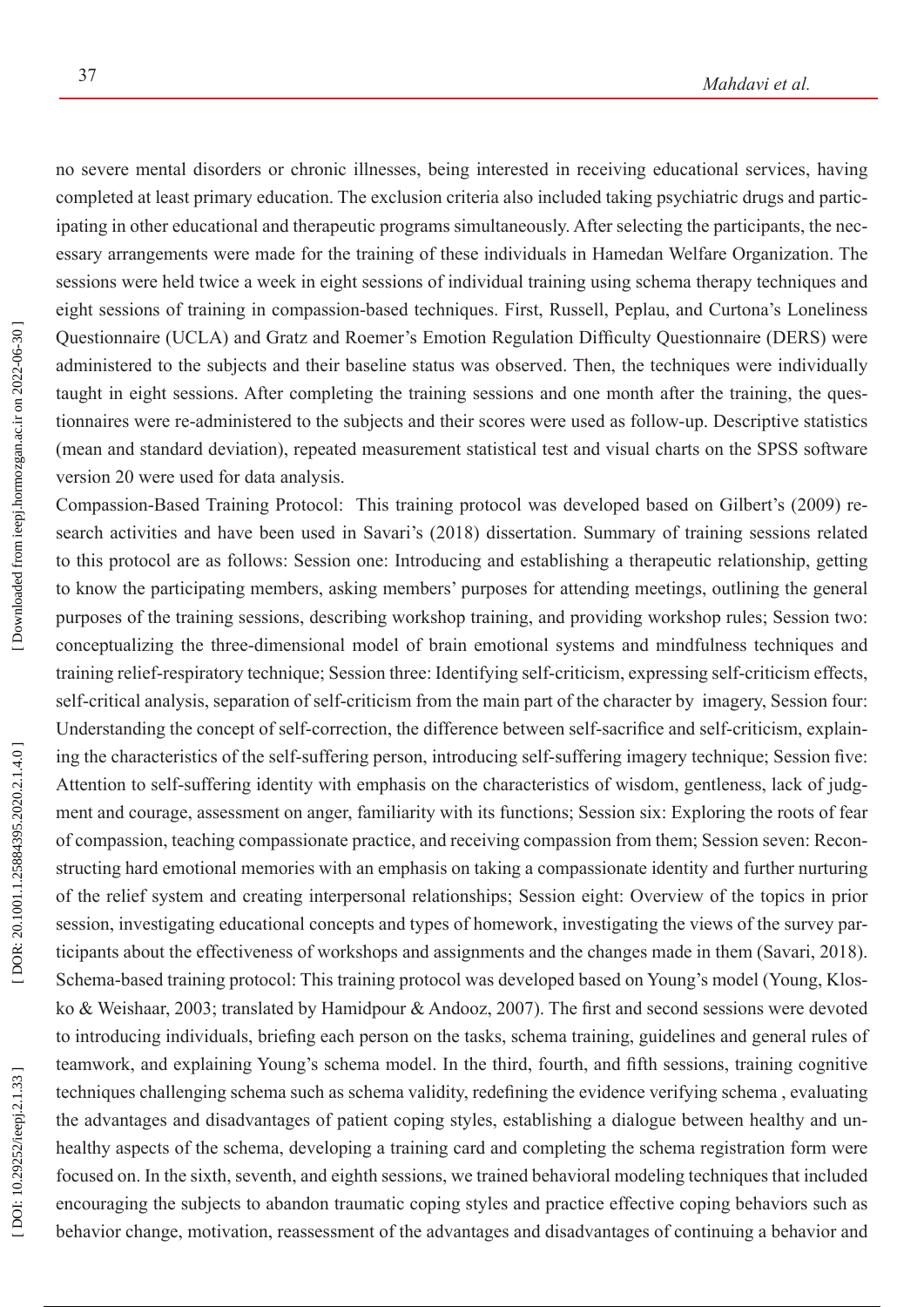no severe mental disorders or chronic illnesses, being interested in receiving educational services, having completed at least primary education. The exclusion criteria also included taking psychiatric drugs and partic ipating in other educational and therapeutic programs simultaneously. After selecting the participants, the nec essary arrangements were made for the training of these individuals in Hamedan Welfare Organization. The sessions were held twice a week in eight sessions of individual training using schema therapy techniques and eight sessions of training in compassion-based techniques. First, Russell, Peplau, and Curtona's Loneliness Questionnaire (UCLA) and Gratz and Roemer's Emotion Regulation Difficulty Questionnaire (DERS) were administered to the subjects and their baseline status was observed. Then, the techniques were individually taught in eight sessions. After completing the training sessions and one month after the training, the ques tionnaires were re-administered to the subjects and their scores were used as follow-up. Descriptive statistics (mean and standard deviation), repeated measurement statistical test and visual charts on the SPSS software version 20 were used for data analysis.

Compassion-Based Training Protocol: This training protocol was developed based on Gilbert's (2009) re search activities and have been used in Savari's (2018) dissertation. Summary of training sessions related to this protocol are as follows: Session one: Introducing and establishing a therapeutic relationship, getting to know the participating members, asking members' purposes for attending meetings, outlining the general purposes of the training sessions, describing workshop training, and providing workshop rules; Session two: conceptualizing the three-dimensional model of brain emotional systems and mindfulness techniques and training relief-respiratory technique; Session three: Identifying self-criticism, expressing self-criticism effects, self-critical analysis, separation of self-criticism from the main part of the character by imagery, Session four: Understanding the concept of self-correction, the difference between self-sacrifice and self-criticism, explain ing the characteristics of the self-suffering person, introducing self-suffering imagery technique; Session five: Attention to self-suffering identity with emphasis on the characteristics of wisdom, gentleness, lack of judg ment and courage, assessment on anger, familiarity with its functions; Session six: Exploring the roots of fear of compassion, teaching compassionate practice, and receiving compassion from them; Session seven: Recon structing hard emotional memories with an emphasis on taking a compassionate identity and further nurturing of the relief system and creating interpersonal relationships; Session eight: Overview of the topics in prior session, investigating educational concepts and types of homework, investigating the views of the survey par ticipants about the effectiveness of workshops and assignments and the changes made in them (Savari, 2018). Schema-based training protocol: This training protocol was developed based on Young's model (Young, Klos ko & Weishaar, 2003; translated by Hamidpour & Andooz, 2007). The first and second sessions were devoted to introducing individuals, briefing each person on the tasks, schema training, guidelines and general rules of teamwork, and explaining Young's schema model. In the third, fourth, and fifth sessions, training cognitive techniques challenging schema such as schema validity, redefining the evidence verifying schema , evaluating the advantages and disadvantages of patient coping styles, establishing a dialogue between healthy and un healthy aspects of the schema, developing a training card and completing the schema registration form were focused on. In the sixth, seventh, and eighth sessions, we trained behavioral modeling techniques that included encouraging the subjects to abandon traumatic coping styles and practice effective coping behaviors such as behavior change, motivation, reassessment of the advantages and disadvantages of continuing a behavior and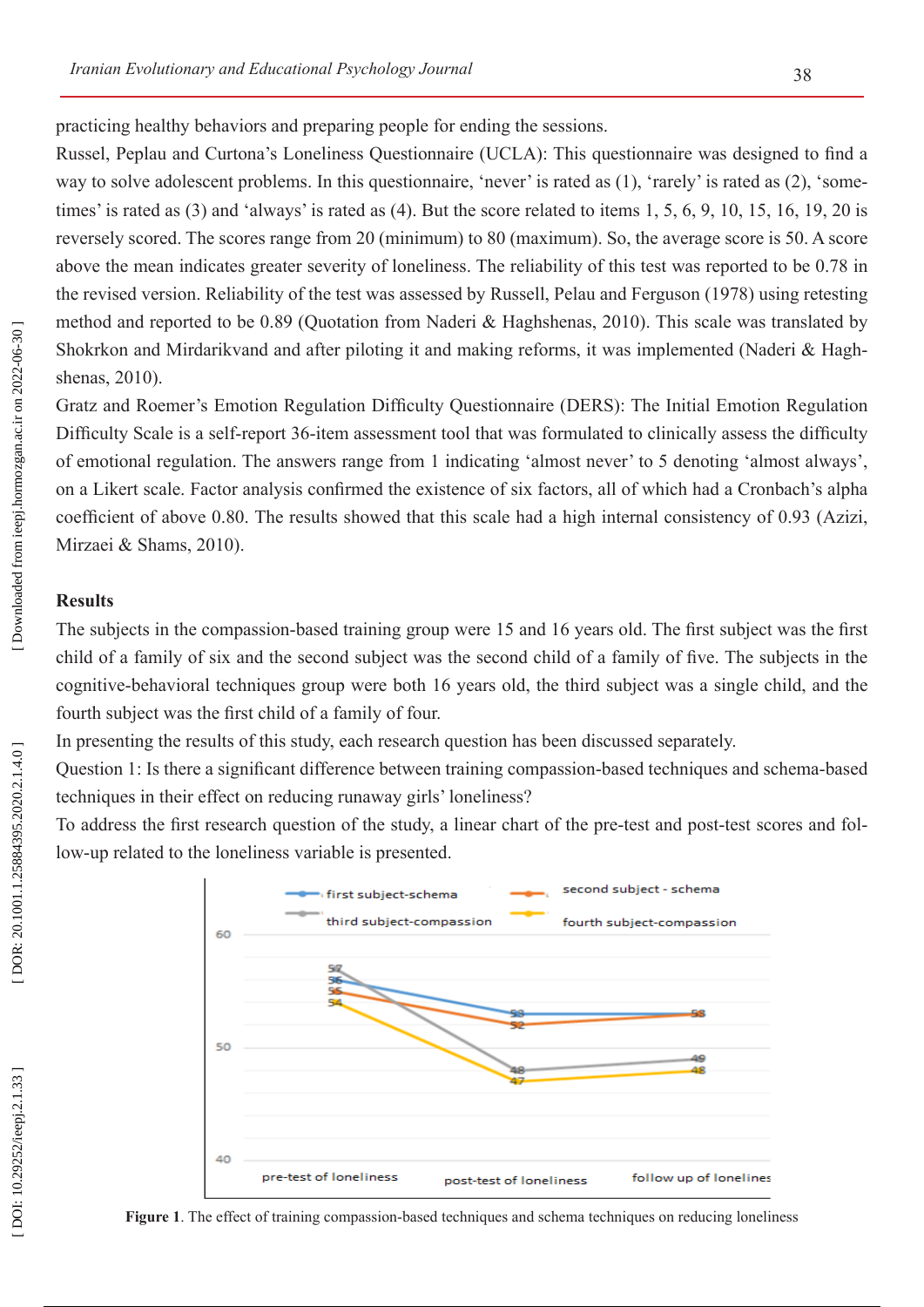practicing healthy behaviors and preparing people for ending the sessions.

Russel, Peplau and Curtona's Loneliness Questionnaire (UCLA): This questionnaire was designed to find a way to solve adolescent problems. In this questionnaire, 'never' is rated as  $(1)$ , 'rarely' is rated as  $(2)$ , 'sometimes' is rated as (3) and 'always' is rated as (4). But the score related to items 1, 5, 6, 9, 10, 15, 16, 19, 20 is reversely scored. The scores range from 20 (minimum) to 80 (maximum). So, the average score is 50. A score above the mean indicates greater severity of loneliness. The reliability of this test was reported to be 0.78 in the revised version. Reliability of the test was assessed by Russell, Pelau and Ferguson (1978) using retesting method and reported to be 0.89 (Quotation from Naderi & Haghshenas, 2010). This scale was translated by Shokrkon and Mirdarikvand and after piloting it and making reforms, it was implemented (Naderi & Hagh shenas, 2010).

Gratz and Roemer's Emotion Regulation Difficulty Questionnaire (DERS): The Initial Emotion Regulation Difficulty Scale is a self-report 36-item assessment tool that was formulated to clinically assess the difficulty of emotional regulation. The answers range from 1 indicating 'almost never' to 5 denoting 'almost always', on a Likert scale. Factor analysis confirmed the existence of six factors, all of which had a Cronbach's alpha coefficient of above 0.80. The results showed that this scale had a high internal consistency of 0.93 (Azizi, Mirzaei & Shams, 2010).

#### **Results**

The subjects in the compassion-based training group were 15 and 16 years old. The first subject was the first child of a family of six and the second subject was the second child of a family of five. The subjects in the cognitive-behavioral techniques group were both 16 years old, the third subject was a single child, and the fourth subject was the first child of a family of four.

In presenting the results of this study, each research question has been discussed separately.

Question 1: Is there a significant difference between training compassion-based techniques and schema-based techniques in their effect on reducing runaway girls' loneliness?

To address the first research question of the study, a linear chart of the pre-test and post-test scores and fol low-up related to the loneliness variable is presented.



**Figure 1**. The effect of training compassion-based techniques and schema techniques on reducing loneliness

DOI: 10.29252/ieepj.2.1.33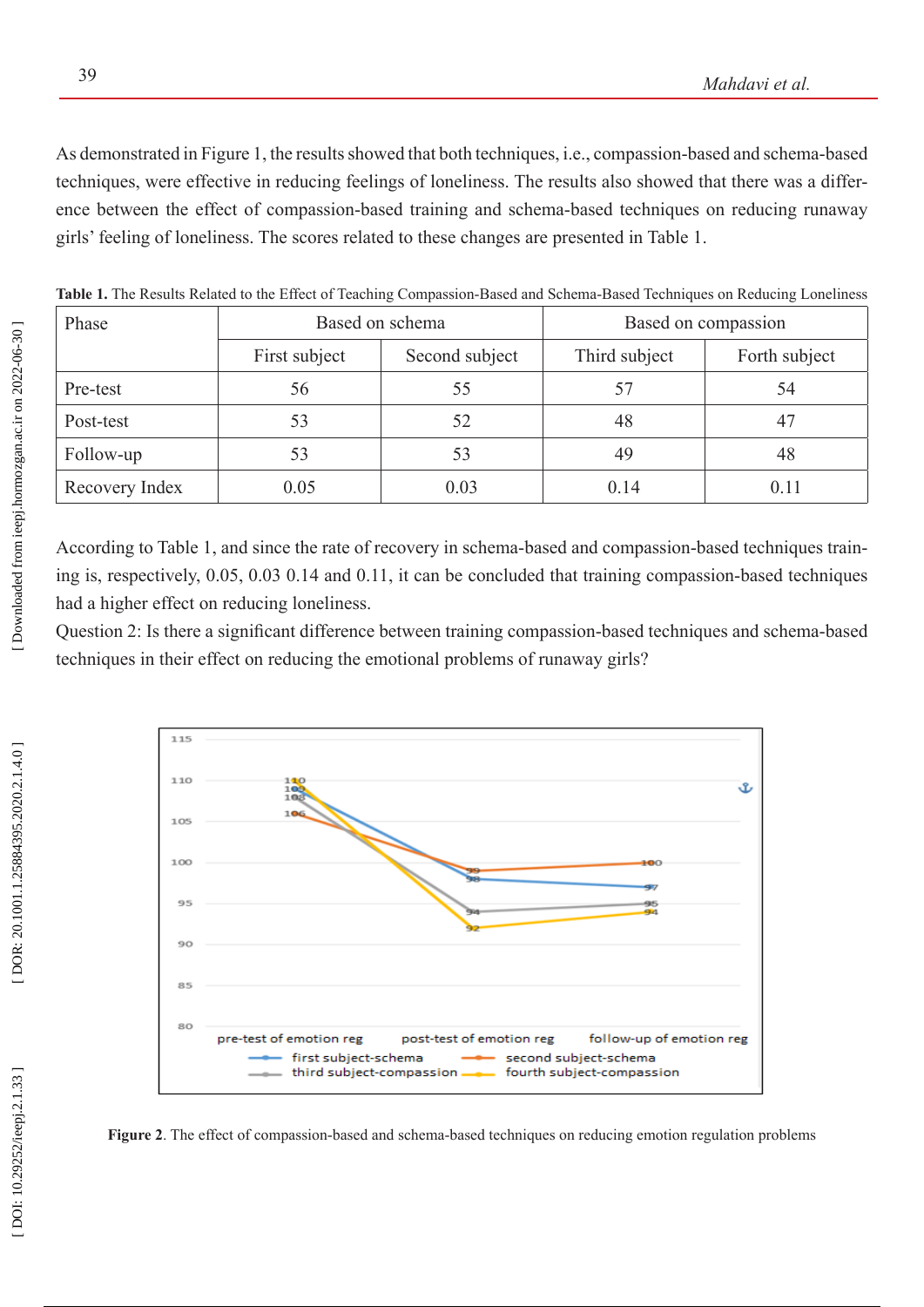As demonstrated in Figure 1, the results showed that both techniques, i.e., compassion-based and schema-based techniques, were effective in reducing feelings of loneliness. The results also showed that there was a differ ence between the effect of compassion-based training and schema-based techniques on reducing runaway girls' feeling of loneliness. The scores related to these changes are presented in Table 1.

| Phase          | Based on schema |                | Based on compassion |               |
|----------------|-----------------|----------------|---------------------|---------------|
|                | First subject   | Second subject | Third subject       | Forth subject |
| Pre-test       | 56              | 55             | 57                  | 54            |
| Post-test      | 53              | 52             | 48                  |               |
| Follow-up      | 53              | 53             | 49                  | 48            |
| Recovery Index | 0.05            | 0.03           | 0.14                | 0.11          |

**Table 1.** The Results Related to the Effect of Teaching Compassion-Based and Schema-Based Techniques on Reducing Loneliness

According to Table 1, and since the rate of recovery in schema-based and compassion-based techniques train ing is, respectively, 0.05, 0.03 0.14 and 0.11, it can be concluded that training compassion-based techniques had a higher effect on reducing loneliness.

Question 2: Is there a significant difference between training compassion-based techniques and schema-based techniques in their effect on reducing the emotional problems of runaway girls?



**Figure 2**. The effect of compassion-based and schema-based techniques on reducing emotion regulation problems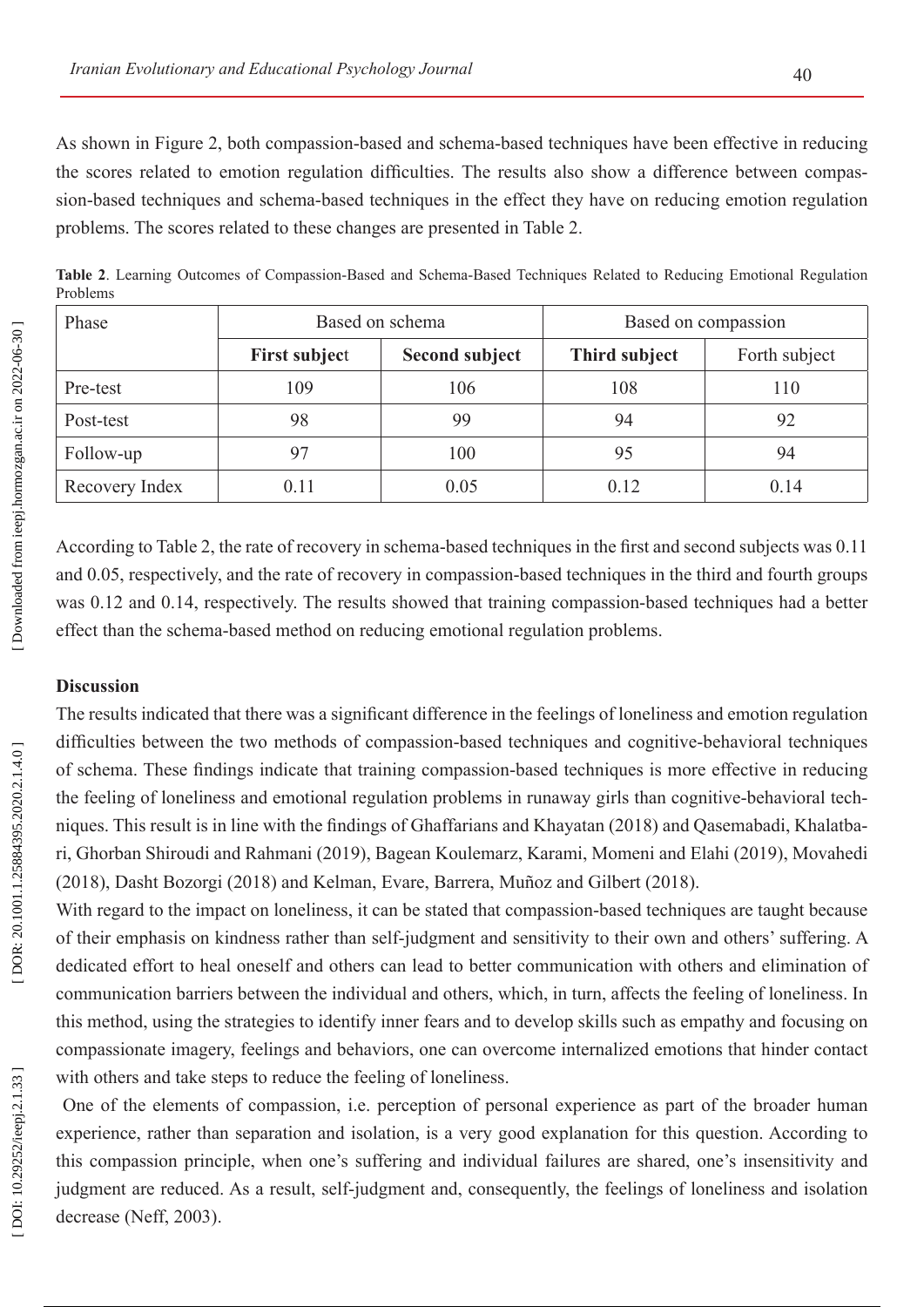As shown in Figure 2, both compassion-based and schema-based techniques have been effective in reducing the scores related to emotion regulation difficulties. The results also show a difference between compas sion-based techniques and schema-based techniques in the effect they have on reducing emotion regulation problems. The scores related to these changes are presented in Table 2.

**Table 2**. Learning Outcomes of Compassion-Based and Schema-Based Techniques Related to Reducing Emotional Regulation Problems

| Phase          | Based on schema      |                       | Based on compassion |               |
|----------------|----------------------|-----------------------|---------------------|---------------|
|                | <b>First subject</b> | <b>Second subject</b> | Third subject       | Forth subject |
| Pre-test       | 109                  | 106                   | 108                 | 110           |
| Post-test      | 98                   | 99                    | 94                  | 92            |
| Follow-up      | 97                   | 100                   | 95                  | 94            |
| Recovery Index | 0.11                 | 0.05                  | 0.12                | 0.14          |

According to Table 2, the rate of recovery in schema-based techniques in the first and second subjects was 0.11 and 0.05, respectively, and the rate of recovery in compassion-based techniques in the third and fourth groups was 0.12 and 0.14, respectively. The results showed that training compassion-based techniques had a better effect than the schema-based method on reducing emotional regulation problems.

## **Discussion**

The results indicated that there was a significant difference in the feelings of loneliness and emotion regulation difficulties between the two methods of compassion-based techniques and cognitive-behavioral techniques of schema. These findings indicate that training compassion-based techniques is more effective in reducing the feeling of loneliness and emotional regulation problems in runaway girls than cognitive-behavioral tech niques. This result is in line with the findings of Ghaffarians and Khayatan (2018) and Qasemabadi, Khalatba ri, Ghorban Shiroudi and Rahmani (2019), Bagean Koulemarz, Karami, Momeni and Elahi (2019), Movahedi (2018), Dasht Bozorgi (2018) and Kelman, Evare, Barrera, Muñoz and Gilbert (2018).

With regard to the impact on loneliness, it can be stated that compassion-based techniques are taught because of their emphasis on kindness rather than self-judgment and sensitivity to their own and others' suffering. A dedicated effort to heal oneself and others can lead to better communication with others and elimination of communication barriers between the individual and others, which, in turn, affects the feeling of loneliness. In this method, using the strategies to identify inner fears and to develop skills such as empathy and focusing on compassionate imagery, feelings and behaviors, one can overcome internalized emotions that hinder contact with others and take steps to reduce the feeling of loneliness.

 One of the elements of compassion, i.e. perception of personal experience as part of the broader human experience, rather than separation and isolation, is a very good explanation for this question. According to this compassion principle, when one's suffering and individual failures are shared, one's insensitivity and judgment are reduced. As a result, self-judgment and, consequently, the feelings of loneliness and isolation decrease (Neff, 2003).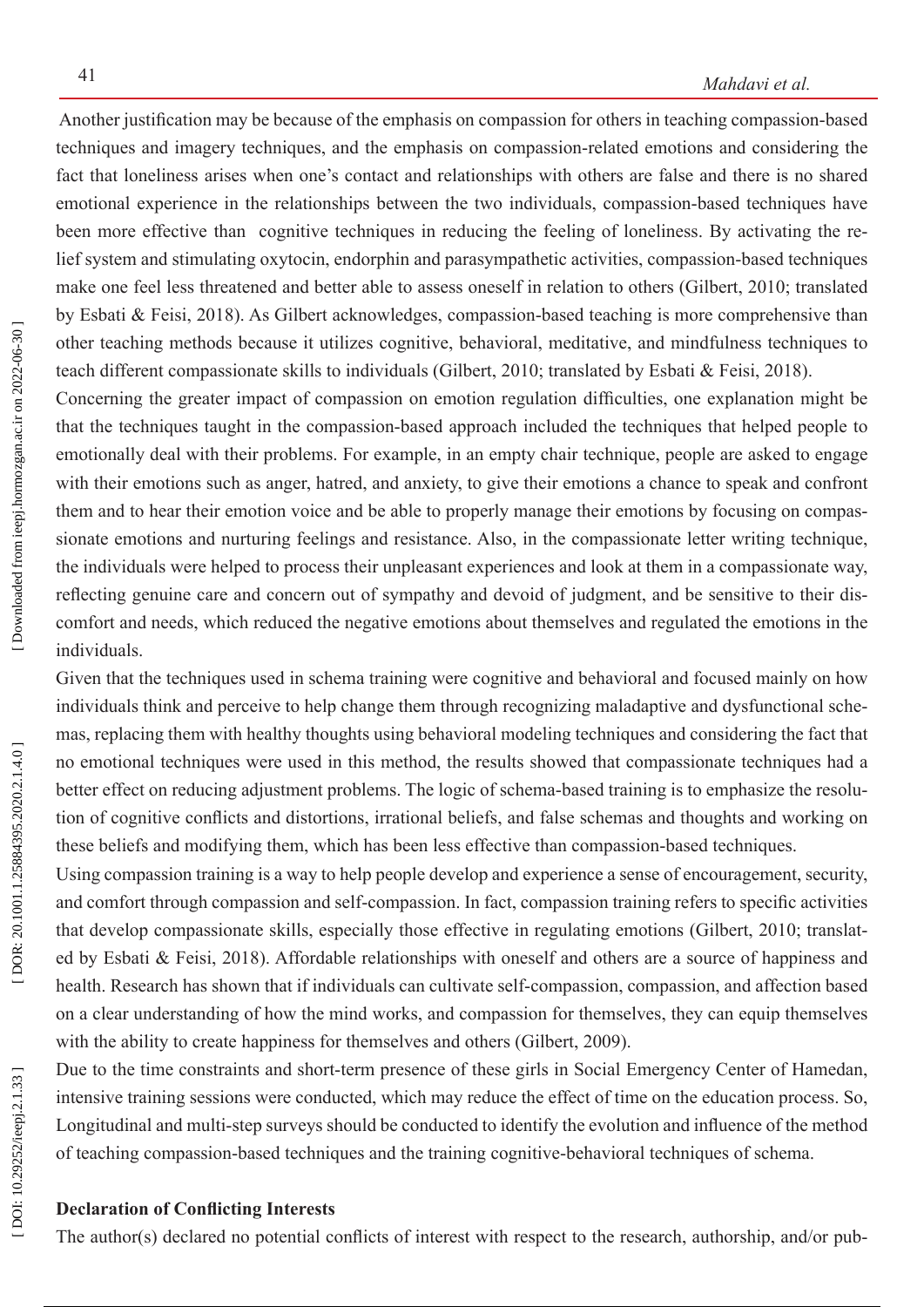Another justification may be because of the emphasis on compassion for others in teaching compassion-based techniques and imagery techniques, and the emphasis on compassion-related emotions and considering the fact that loneliness arises when one's contact and relationships with others are false and there is no shared emotional experience in the relationships between the two individuals, compassion-based techniques have been more effective than cognitive techniques in reducing the feeling of loneliness. By activating the relief system and stimulating oxytocin, endorphin and parasympathetic activities, compassion-based techniques make one feel less threatened and better able to assess oneself in relation to others (Gilbert, 2010; translated by Esbati & Feisi, 2018). As Gilbert acknowledges, compassion-based teaching is more comprehensive than other teaching methods because it utilizes cognitive, behavioral, meditative, and mindfulness techniques to teach different compassionate skills to individuals (Gilbert, 2010; translated by Esbati & Feisi, 2018).

Concerning the greater impact of compassion on emotion regulation difficulties, one explanation might be that the techniques taught in the compassion-based approach included the techniques that helped people to emotionally deal with their problems. For example, in an empty chair technique, people are asked to engage with their emotions such as anger, hatred, and anxiety, to give their emotions a chance to speak and confront them and to hear their emotion voice and be able to properly manage their emotions by focusing on compas sionate emotions and nurturing feelings and resistance. Also, in the compassionate letter writing technique, the individuals were helped to process their unpleasant experiences and look at them in a compassionate way, reflecting genuine care and concern out of sympathy and devoid of judgment, and be sensitive to their dis comfort and needs, which reduced the negative emotions about themselves and regulated the emotions in the individuals.

Given that the techniques used in schema training were cognitive and behavioral and focused mainly on how individuals think and perceive to help change them through recognizing maladaptive and dysfunctional sche mas, replacing them with healthy thoughts using behavioral modeling techniques and considering the fact that no emotional techniques were used in this method, the results showed that compassionate techniques had a better effect on reducing adjustment problems. The logic of schema-based training is to emphasize the resolu tion of cognitive conflicts and distortions, irrational beliefs, and false schemas and thoughts and working on these beliefs and modifying them, which has been less effective than compassion-based techniques.

Using compassion training is a way to help people develop and experience a sense of encouragement, security, and comfort through compassion and self-compassion. In fact, compassion training refers to specific activities that develop compassionate skills, especially those effective in regulating emotions (Gilbert, 2010; translat ed by Esbati & Feisi, 2018). Affordable relationships with oneself and others are a source of happiness and health. Research has shown that if individuals can cultivate self-compassion, compassion, and affection based on a clear understanding of how the mind works, and compassion for themselves, they can equip themselves with the ability to create happiness for themselves and others (Gilbert, 2009).

Due to the time constraints and short-term presence of these girls in Social Emergency Center of Hamedan, intensive training sessions were conducted, which may reduce the effect of time on the education process. So, Longitudinal and multi-step surveys should be conducted to identify the evolution and influence of the method of teaching compassion-based techniques and the training cognitive-behavioral techniques of schema.

## **Declaration of Conflicting Interests**

The author(s) declared no potential conflicts of interest with respect to the research, authorship, and/or pub -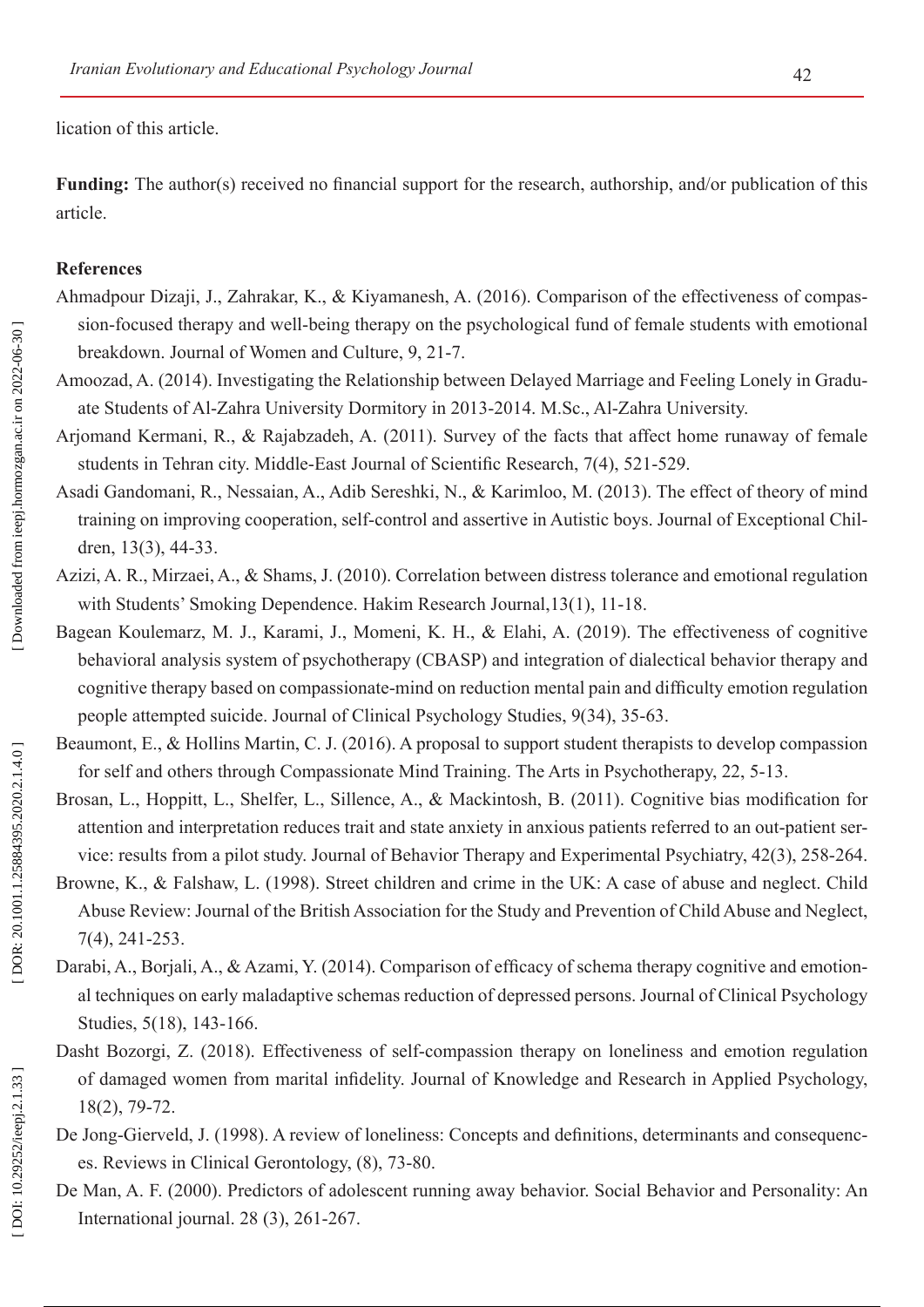lication of this article.

**Funding:** The author(s) received no financial support for the research, authorship, and/or publication of this article.

### **References**

- Ahmadpour Dizaji, J., Zahrakar, K., & Kiyamanesh, A. (2016). Comparison of the effectiveness of compas sion-focused therapy and well-being therapy on the psychological fund of female students with emotional breakdown. Journal of Women and Culture, 9, 21-7.
- Amoozad, A. (2014). Investigating the Relationship between Delayed Marriage and Feeling Lonely in Gradu ate Students of Al-Zahra University Dormitory in 2013-2014. M.Sc., Al-Zahra University.
- Arjomand Kermani, R., & Rajabzadeh, A. (2011). Survey of the facts that affect home runaway of female students in Tehran city. Middle-East Journal of Scientific Research, 7(4), 521-529.
- Asadi Gandomani, R., Nessaian, A., Adib Sereshki, N., & Karimloo, M. (2013). The effect of theory of mind training on improving cooperation, self-control and assertive in Autistic boys. Journal of Exceptional Chil dren, 13(3), 44-33.
- Azizi, A. R., Mirzaei, A., & Shams, J. (2010). Correlation between distress tolerance and emotional regulation with Students' Smoking Dependence. Hakim Research Journal,13(1), 11-18.
- Bagean Koulemarz, M. J., Karami, J., Momeni, K. H., & Elahi, A. (2019). The effectiveness of cognitive behavioral analysis system of psychotherapy (CBASP) and integration of dialectical behavior therapy and cognitive therapy based on compassionate-mind on reduction mental pain and difficulty emotion regulation people attempted suicide. Journal of Clinical Psychology Studies, 9(34), 35-63.
- Beaumont, E., & Hollins Martin, C. J. (2016). A proposal to support student therapists to develop compassion for self and others through Compassionate Mind Training. The Arts in Psychotherapy, 22, 5-13.
- Brosan, L., Hoppitt, L., Shelfer, L., Sillence, A., & Mackintosh, B. (2011). Cognitive bias modification for attention and interpretation reduces trait and state anxiety in anxious patients referred to an out-patient ser vice: results from a pilot study. Journal of Behavior Therapy and Experimental Psychiatry, 42(3), 258-264.
- Browne, K., & Falshaw, L. (1998). Street children and crime in the UK: A case of abuse and neglect. Child Abuse Review: Journal of the British Association for the Study and Prevention of Child Abuse and Neglect, 7(4), 241-253.
- Darabi, A., Borjali, A., & Azami, Y. (2014). Comparison of efficacy of schema therapy cognitive and emotion al techniques on early maladaptive schemas reduction of depressed persons. Journal of Clinical Psychology Studies, 5(18), 143-166.
- Dasht Bozorgi, Z. (2018). Effectiveness of self-compassion therapy on loneliness and emotion regulation of damaged women from marital infidelity. Journal of Knowledge and Research in Applied Psychology, 18(2), 79-72.
- De Jong-Gierveld, J. (1998). A review of loneliness: Concepts and definitions, determinants and consequences. Reviews in Clinical Gerontology, (8), 73-80.
- De Man, A. F. (2000). Predictors of adolescent running away behavior. Social Behavior and Personality: An International journal. 28 (3), 261-267.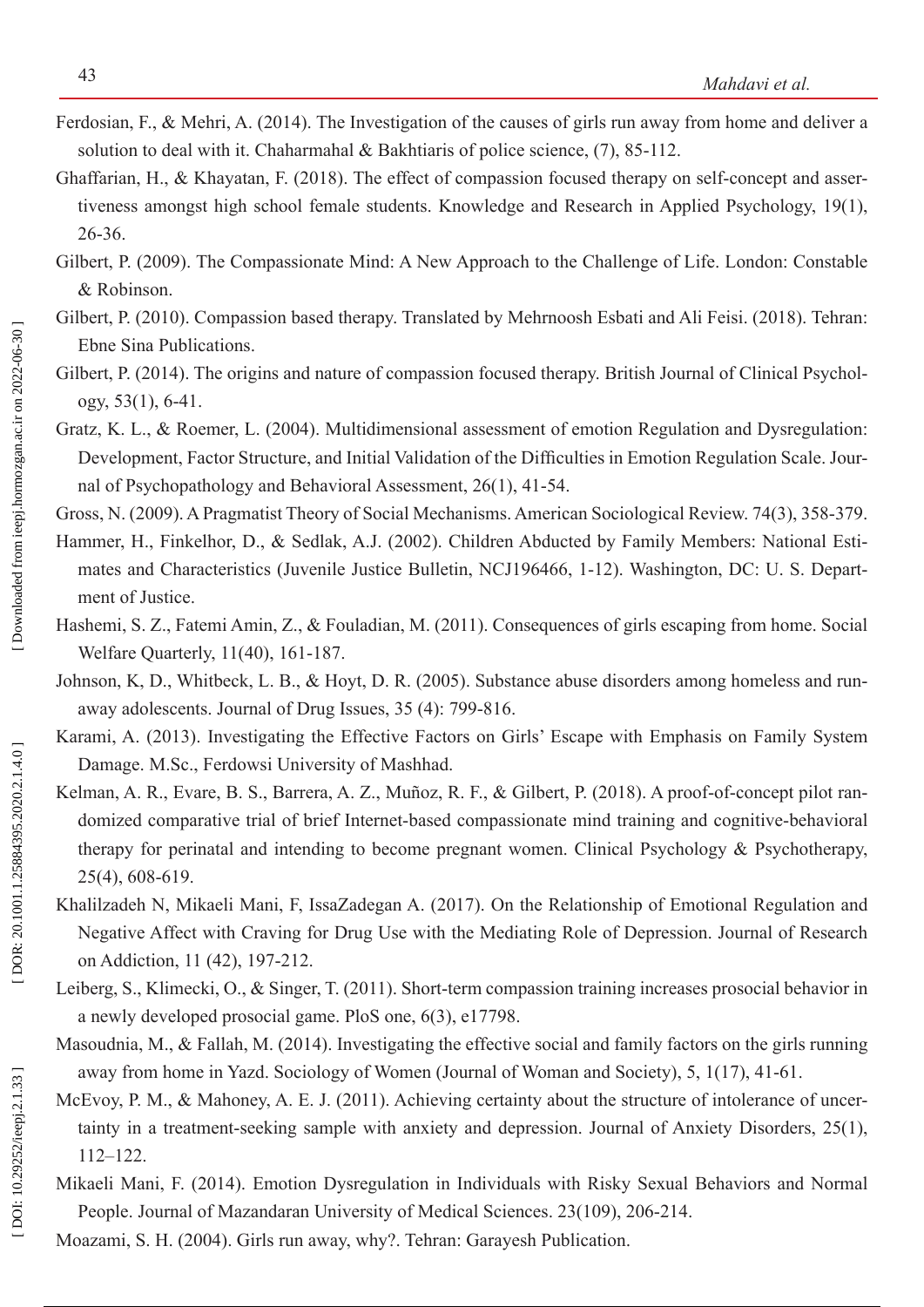- Ferdosian, F., & Mehri, A. (2014). The Investigation of the causes of girls run away from home and deliver a solution to deal with it. Chaharmahal & Bakhtiaris of police science, (7), 85-112.
- Ghaffarian, H., & Khayatan, F. (2018). The effect of compassion focused therapy on self-concept and asser tiveness amongst high school female students. Knowledge and Research in Applied Psychology, 19(1), 26-36.
- Gilbert, P. (2009). The Compassionate Mind: A New Approach to the Challenge of Life. London: Constable & Robinson.
- Gilbert, P. (2010). Compassion based therapy. Translated by Mehrnoosh Esbati and Ali Feisi. (2018). Tehran: Ebne Sina Publications.
- Gilbert, P. (2014). The origins and nature of compassion focused therapy. British Journal of Clinical Psychology, [53\(1](https://onlinelibrary.wiley.com/toc/20448260/2014/53/1)), 6-41.
- Gratz, K. L., & Roemer, L. (2004). Multidimensional assessment of emotion Regulation and Dysregulation: Development, Factor Structure, and Initial Validation of the Difficulties in Emotion Regulation Scale. Jour nal of Psychopathology and Behavioral Assessment, 26(1), 41-54.
- Gross, N. (2009). A Pragmatist Theory of Social Mechanisms. American Sociological Review. 74(3), 358-379.
- Hammer, H., Finkelhor, D., & Sedlak, A.J. (2002). Children Abducted by Family Members: National Esti mates and Characteristics (Juvenile Justice Bulletin, NCJ196466, 1-12). Washington, DC: U. S. Depart ment of Justice.
- Hashemi, S. Z., Fatemi Amin, Z., & Fouladian, M. (2011). Consequences of girls escaping from home. Social Welfare Quarterly, 11(40), 161-187.
- Johnson, K, D., Whitbeck, L. B., & Hoyt, D. R. (2005). Substance abuse disorders among homeless and runaway adolescents. Journal of Drug Issues, 35 (4): 799-816.
- Karami, A. (2013). Investigating the Effective Factors on Girls' Escape with Emphasis on Family System Damage. M.Sc., Ferdowsi University of Mashhad.
- Kelman, A. R., Evare, B. S., Barrera, A. Z., Muñoz, R. F., & Gilbert, P. (2018). A proof-of-concept pilot randomized comparative trial of brief Internet-based compassionate mind training and cognitive-behavioral therapy for perinatal and intending to become pregnant women. Clinical Psychology & Psychotherapy, 25(4), 608-619.
- Khalilzadeh N, Mikaeli Mani, F, IssaZadegan A. (2017). On the Relationship of Emotional Regulation and Negative Affect with Craving for Drug Use with the Mediating Role of Depression. Journal of Research on Addiction, 11 (42), 197-212.
- Leiberg, S., Klimecki, O., & Singer, T. (2011). Short-term compassion training increases prosocial behavior in a newly developed prosocial game. PloS one, 6(3), e17798.
- Masoudnia, M., & Fallah, M. (2014). Investigating the effective social and family factors on the girls running away from home in Yazd. Sociology of Women (Journal of Woman and Society), 5, 1(17), 41-61.
- McEvoy, P. M., & Mahoney, A. E. J. (2011). Achieving certainty about the structure of intolerance of uncertainty in a treatment-seeking sample with anxiety and depression. Journal of Anxiety Disorders, 25(1), 112–122.
- Mikaeli Mani, F. (2014). Emotion Dysregulation in Individuals with Risky Sexual Behaviors and Normal People. Journal of Mazandaran University of Medical Sciences. 23(109), 206-214.

DOI: 10.29252/ieepj.2.1.33]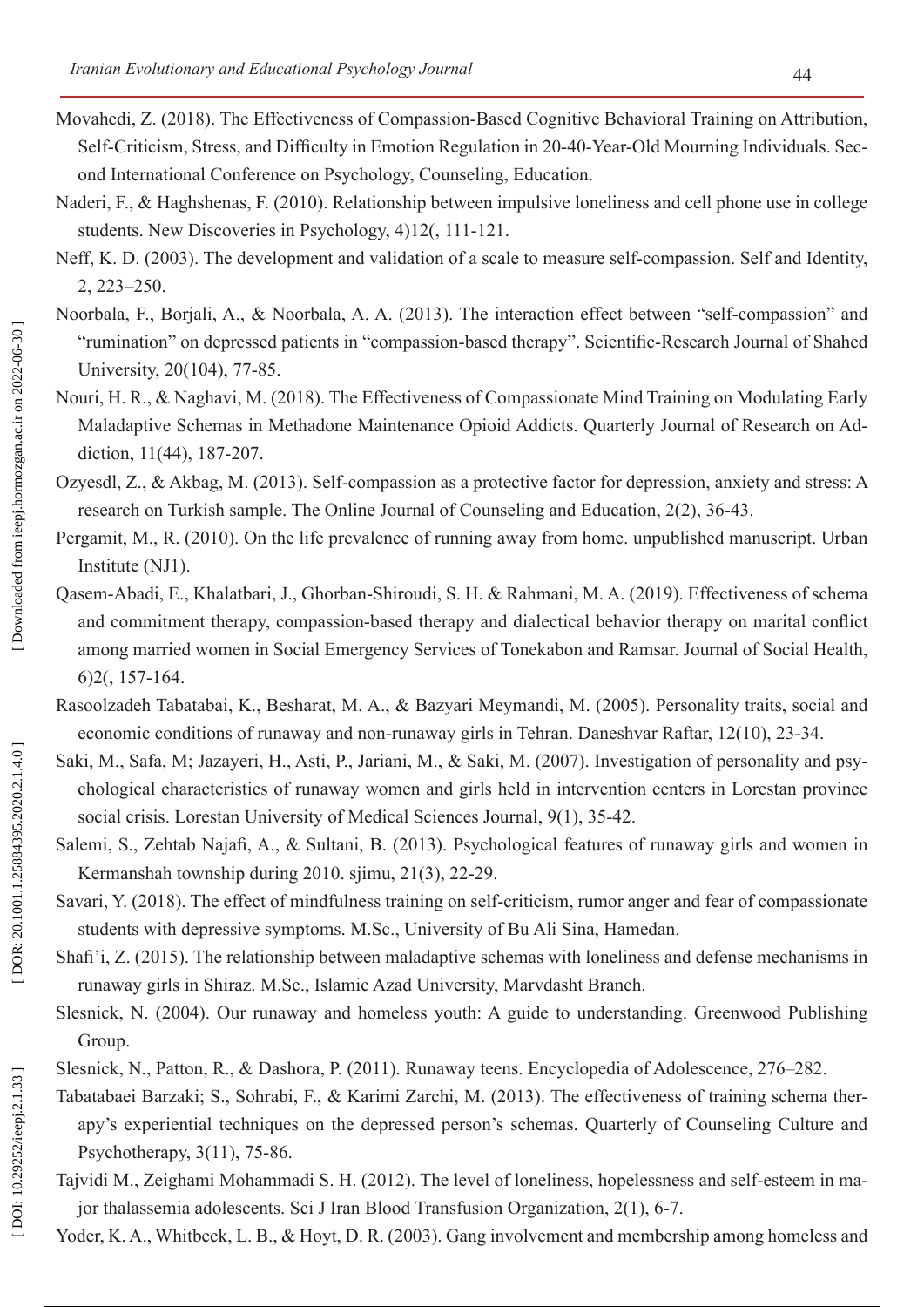- Movahedi, Z. (2018). The Effectiveness of Compassion-Based Cognitive Behavioral Training on Attribution, Self-Criticism, Stress, and Difficulty in Emotion Regulation in 20-40-Year-Old Mourning Individuals. Sec ond International Conference on Psychology, Counseling, Education.
- Naderi, F., & Haghshenas, F. (2010). Relationship between impulsive loneliness and cell phone use in college students. New Discoveries in Psychology, 4)12(, 111-121.
- Neff, K. D. (2003). The development and validation of a scale to measure self-compassion. Self and Identity, 2, 223–250.
- Noorbala, F., Borjali, A., & Noorbala, A. A. (2013). The interaction effect between "self-compassion" and "rumination" on depressed patients in "compassion-based therapy". Scientific-Research Journal of Shahed University, 20(104), 77-85.
- Nouri, H. R., & Naghavi, M. (2018). The Effectiveness of Compassionate Mind Training on Modulating Early Maladaptive Schemas in Methadone Maintenance Opioid Addicts. Quarterly Journal of Research on Ad diction, 11(44), 187-207.
- Ozyesdl, Z., & Akbag, M. (2013). Self-compassion as a protective factor for depression, anxiety and stress: A research on Turkish sample. The Online Journal of Counseling and Education, 2(2), 36-43.
- Pergamit, M., R. (2010). On the life prevalence of running away from home. unpublished manuscript. Urban Institute (NJ1).
- Qasem-Abadi, E., Khalatbari, J., Ghorban-Shiroudi, S. H. & Rahmani, M. A. (2019). Effectiveness of schema and commitment therapy, compassion-based therapy and dialectical behavior therapy on marital conflict among married women in Social Emergency Services of Tonekabon and Ramsar. Journal of Social Health, 6)2(, 157-164.
- Rasoolzadeh Tabatabai, K., Besharat, M. A., & Bazyari Meymandi, M. (2005). Personality traits, social and economic conditions of runaway and non-runaway girls in Tehran. Daneshvar Raftar, 12(10), 23-34.
- Saki, M., Safa, M; Jazayeri, H., Asti, P., Jariani, M., & Saki, M. (2007). Investigation of personality and psy chological characteristics of runaway women and girls held in intervention centers in Lorestan province social crisis. Lorestan University of Medical Sciences Journal, 9(1), 35-42.
- Salemi, S., Zehtab Najafi, A., & Sultani, B. (2013). Psychological features of runaway girls and women in Kermanshah township during 2010. sjimu, 21(3), 22-29.
- Savari, Y. (2018). The effect of mindfulness training on self-criticism, rumor anger and fear of compassionate students with depressive symptoms. M.Sc., University of Bu Ali Sina, Hamedan.
- Shafi'i, Z. (2015). The relationship between maladaptive schemas with loneliness and defense mechanisms in runaway girls in Shiraz. M.Sc., Islamic Azad University, Marvdasht Branch.
- Slesnick, N. (2004). Our runaway and homeless youth: A guide to understanding. Greenwood Publishing Group.
- Slesnick, N., Patton, R., & Dashora, P. (2011). Runaway teens. Encyclopedia of Adolescence, 276–282.
- Tabatabaei Barzaki; S., Sohrabi, F., & Karimi Zarchi, M. (2013). The effectiveness of training schema ther apy's experiential techniques on the depressed person's schemas. Quarterly of Counseling Culture and Psychotherapy, 3(11), 75-86.
- Tajvidi M., Zeighami Mohammadi S. H. (2012). The level of loneliness, hopelessness and self-esteem in ma jor thalassemia adolescents. Sci J Iran Blood Transfusion Organization, 2(1), 6-7.
- Yoder, K. A., Whitbeck, L. B., & Hoyt, D. R. (2003). Gang involvement and membership among homeless and